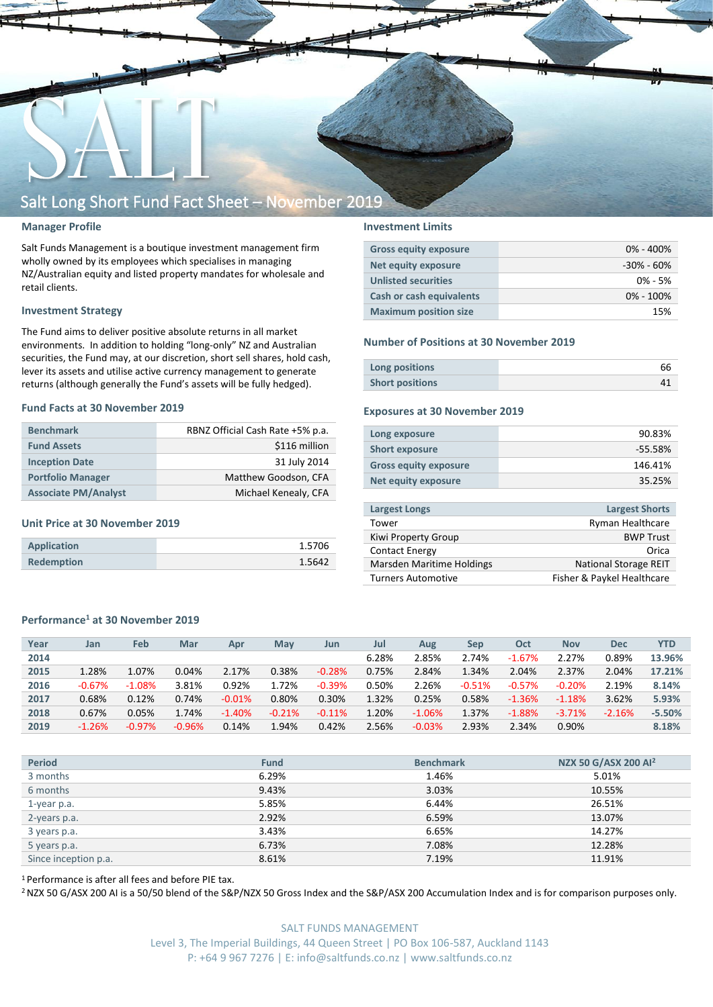

#### **Manager Profile**

Salt Funds Management is a boutique investment management firm wholly owned by its employees which specialises in managing NZ/Australian equity and listed property mandates for wholesale and retail clients.

#### **Investment Strategy**

The Fund aims to deliver positive absolute returns in all market environments. In addition to holding "long-only" NZ and Australian securities, the Fund may, at our discretion, short sell shares, hold cash, lever its assets and utilise active currency management to generate returns (although generally the Fund's assets will be fully hedged).

#### **Fund Facts at 30 November 2019**

| <b>Benchmark</b>            | RBNZ Official Cash Rate +5% p.a. |  |  |  |  |
|-----------------------------|----------------------------------|--|--|--|--|
| <b>Fund Assets</b>          | \$116 million                    |  |  |  |  |
| <b>Inception Date</b>       | 31 July 2014                     |  |  |  |  |
| <b>Portfolio Manager</b>    | Matthew Goodson, CFA             |  |  |  |  |
| <b>Associate PM/Analyst</b> | Michael Kenealy, CFA             |  |  |  |  |

#### **Unit Price at 30 November 2019**

| Application       | 1.5706 |
|-------------------|--------|
| <b>Redemption</b> | 1.5642 |

#### **Investment Limits**

| <b>Gross equity exposure</b> | $0\% - 400\%$  |
|------------------------------|----------------|
| Net equity exposure          | $-30\% - 60\%$ |
| <b>Unlisted securities</b>   | $0\% - 5\%$    |
| Cash or cash equivalents     | $0\% - 100\%$  |
| <b>Maximum position size</b> | 15%            |

#### **Number of Positions at 30 November 2019**

| Long positions         |  |
|------------------------|--|
| <b>Short positions</b> |  |

#### **Exposures at 30 November 2019**

| Long exposure                | 90.83%    |
|------------------------------|-----------|
| <b>Short exposure</b>        | $-55.58%$ |
| <b>Gross equity exposure</b> | 146.41%   |
| Net equity exposure          | 35.25%    |
|                              |           |

| <b>Largest Longs</b>      | <b>Largest Shorts</b>        |
|---------------------------|------------------------------|
| Tower                     | <b>Ryman Healthcare</b>      |
| Kiwi Property Group       | <b>BWP Trust</b>             |
| <b>Contact Energy</b>     | Orica                        |
| Marsden Maritime Holdings | <b>National Storage REIT</b> |
| <b>Turners Automotive</b> | Fisher & Paykel Healthcare   |
|                           |                              |

#### **Performance<sup>1</sup> at 30 November 2019**

| Year | Jan      | Feb      | Mar      | Apr       | Mav      | Jun      | Jul   | Aug      | Sep      | Oct      | <b>Nov</b> | <b>Dec</b> | YTD      |
|------|----------|----------|----------|-----------|----------|----------|-------|----------|----------|----------|------------|------------|----------|
| 2014 |          |          |          |           |          |          | 6.28% | 2.85%    | 2.74%    | $-1.67%$ | 2.27%      | 0.89%      | 13.96%   |
| 2015 | 1.28%    | 1.07%    | 0.04%    | 2.17%     | 0.38%    | $-0.28%$ | 0.75% | 2.84%    | 1.34%    | 2.04%    | 2.37%      | 2.04%      | 17.21%   |
| 2016 | $-0.67%$ | $-1.08%$ | 3.81%    | 0.92%     | 1.72%    | $-0.39%$ | 0.50% | 2.26%    | $-0.51%$ | $-0.57%$ | $-0.20%$   | 2.19%      | 8.14%    |
| 2017 | 0.68%    | 0.12%    | 0.74%    | $-0.01\%$ | 0.80%    | 0.30%    | 1.32% | 0.25%    | 0.58%    | $-1.36%$ | $-1.18%$   | 3.62%      | 5.93%    |
| 2018 | 0.67%    | 0.05%    | 1.74%    | $-1.40%$  | $-0.21%$ | $-0.11%$ | 1.20% | $-1.06%$ | 1.37%    | $-1.88%$ | $-3.71%$   | $-2.16%$   | $-5.50%$ |
| 2019 | $-1.26%$ | $-0.97%$ | $-0.96%$ | 0.14%     | 1.94%    | 0.42%    | 2.56% | $-0.03%$ | 2.93%    | 2.34%    | 0.90%      |            | 8.18%    |
|      |          |          |          |           |          |          |       |          |          |          |            |            |          |

| <b>Period</b>        | <b>Fund</b> | <b>Benchmark</b> | NZX 50 G/ASX 200 Al <sup>2</sup> |
|----------------------|-------------|------------------|----------------------------------|
| 3 months             | 6.29%       | 1.46%            | 5.01%                            |
| 6 months             | 9.43%       | 3.03%            | 10.55%                           |
| 1-year p.a.          | 5.85%       | 6.44%            | 26.51%                           |
| 2-years p.a.         | 2.92%       | 6.59%            | 13.07%                           |
| 3 years p.a.         | 3.43%       | 6.65%            | 14.27%                           |
| 5 years p.a.         | 6.73%       | 7.08%            | 12.28%                           |
| Since inception p.a. | 8.61%       | 7.19%            | 11.91%                           |

<sup>1</sup> Performance is after all fees and before PIE tax.

<sup>2</sup> NZX 50 G/ASX 200 AI is a 50/50 blend of the S&P/NZX 50 Gross Index and the S&P/ASX 200 Accumulation Index and is for comparison purposes only.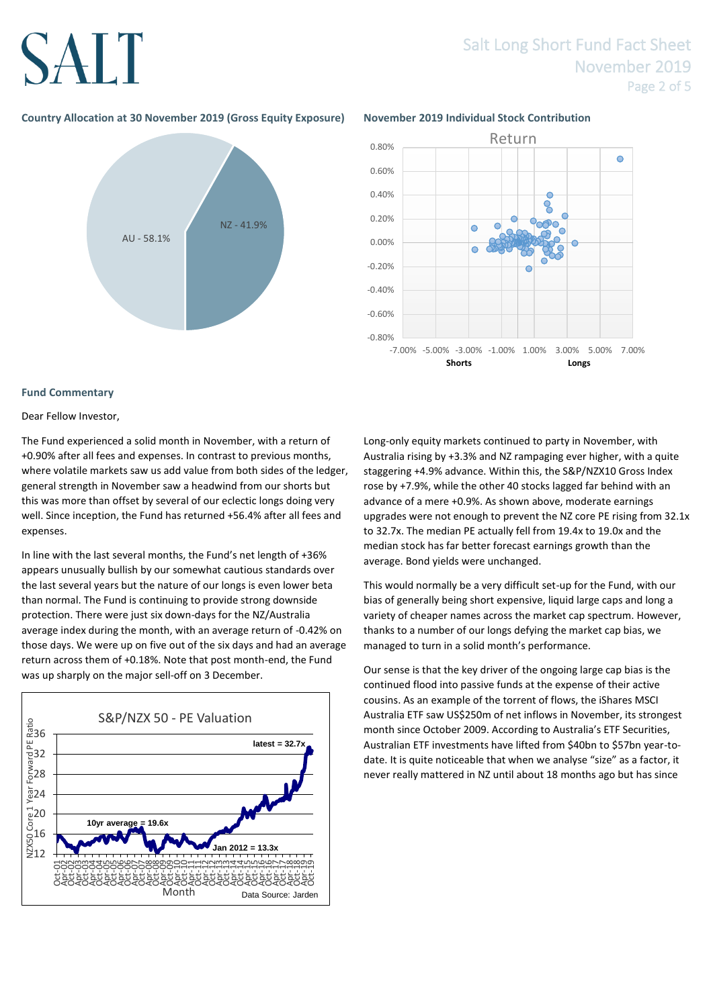# SALT

### Salt Long Short Fund Fact Sheet November 2019 Page 2 of 5

### **Country Allocation at 30 November 2019 (Gross Equity Exposure) November 2019 Individual Stock Contribution**





#### **Fund Commentary**

#### Dear Fellow Investor,

The Fund experienced a solid month in November, with a return of +0.90% after all fees and expenses. In contrast to previous months, where volatile markets saw us add value from both sides of the ledger, general strength in November saw a headwind from our shorts but this was more than offset by several of our eclectic longs doing very well. Since inception, the Fund has returned +56.4% after all fees and expenses.

In line with the last several months, the Fund's net length of +36% appears unusually bullish by our somewhat cautious standards over the last several years but the nature of our longs is even lower beta than normal. The Fund is continuing to provide strong downside protection. There were just six down-days for the NZ/Australia average index during the month, with an average return of -0.42% on those days. We were up on five out of the six days and had an average return across them of +0.18%. Note that post month-end, the Fund was up sharply on the major sell-off on 3 December.



Long-only equity markets continued to party in November, with Australia rising by +3.3% and NZ rampaging ever higher, with a quite staggering +4.9% advance. Within this, the S&P/NZX10 Gross Index rose by +7.9%, while the other 40 stocks lagged far behind with an advance of a mere +0.9%. As shown above, moderate earnings upgrades were not enough to prevent the NZ core PE rising from 32.1x to 32.7x. The median PE actually fell from 19.4x to 19.0x and the median stock has far better forecast earnings growth than the average. Bond yields were unchanged.

This would normally be a very difficult set-up for the Fund, with our bias of generally being short expensive, liquid large caps and long a variety of cheaper names across the market cap spectrum. However, thanks to a number of our longs defying the market cap bias, we managed to turn in a solid month's performance.

Our sense is that the key driver of the ongoing large cap bias is the continued flood into passive funds at the expense of their active cousins. As an example of the torrent of flows, the iShares MSCI Australia ETF saw US\$250m of net inflows in November, its strongest month since October 2009. According to Australia's ETF Securities, Australian ETF investments have lifted from \$40bn to \$57bn year-todate. It is quite noticeable that when we analyse "size" as a factor, it never really mattered in NZ until about 18 months ago but has since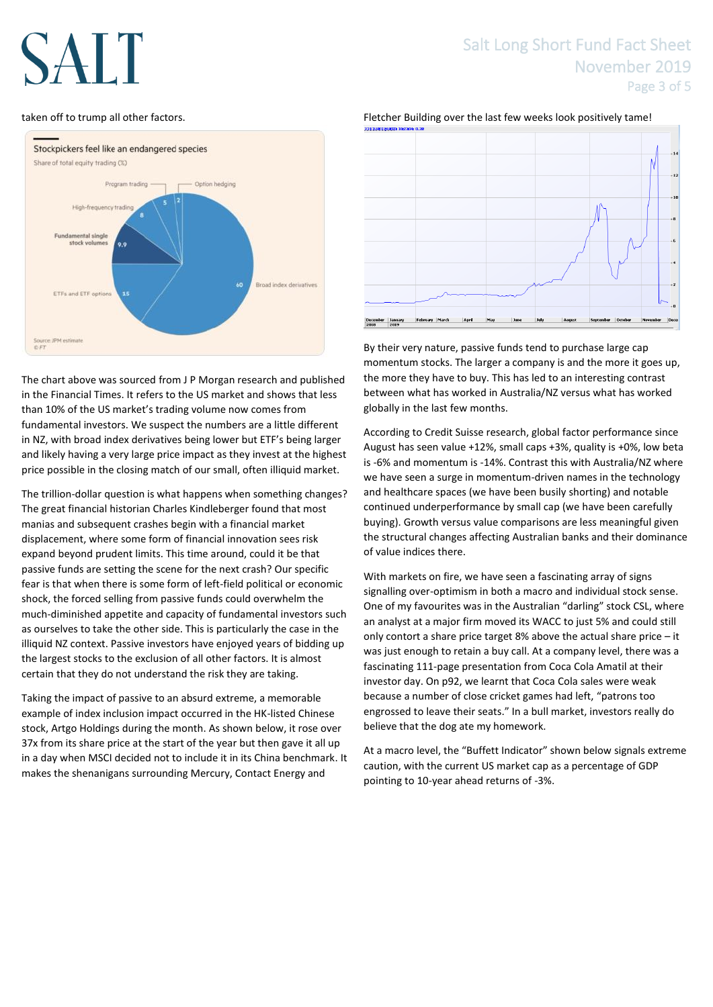# AI.

#### taken off to trump all other factors.



The chart above was sourced from J P Morgan research and published in the Financial Times. It refers to the US market and shows that less than 10% of the US market's trading volume now comes from fundamental investors. We suspect the numbers are a little different in NZ, with broad index derivatives being lower but ETF's being larger and likely having a very large price impact as they invest at the highest price possible in the closing match of our small, often illiquid market.

The trillion-dollar question is what happens when something changes? The great financial historian Charles Kindleberger found that most manias and subsequent crashes begin with a financial market displacement, where some form of financial innovation sees risk expand beyond prudent limits. This time around, could it be that passive funds are setting the scene for the next crash? Our specific fear is that when there is some form of left-field political or economic shock, the forced selling from passive funds could overwhelm the much-diminished appetite and capacity of fundamental investors such as ourselves to take the other side. This is particularly the case in the illiquid NZ context. Passive investors have enjoyed years of bidding up the largest stocks to the exclusion of all other factors. It is almost certain that they do not understand the risk they are taking.

Taking the impact of passive to an absurd extreme, a memorable example of index inclusion impact occurred in the HK-listed Chinese stock, Artgo Holdings during the month. As shown below, it rose over 37x from its share price at the start of the year but then gave it all up in a day when MSCI decided not to include it in its China benchmark. It makes the shenanigans surrounding Mercury, Contact Energy and

### Salt Long Short Fund Fact Sheet November 2019 Page 3 of 5





By their very nature, passive funds tend to purchase large cap momentum stocks. The larger a company is and the more it goes up, the more they have to buy. This has led to an interesting contrast between what has worked in Australia/NZ versus what has worked globally in the last few months.

According to Credit Suisse research, global factor performance since August has seen value +12%, small caps +3%, quality is +0%, low beta is -6% and momentum is -14%. Contrast this with Australia/NZ where we have seen a surge in momentum-driven names in the technology and healthcare spaces (we have been busily shorting) and notable continued underperformance by small cap (we have been carefully buying). Growth versus value comparisons are less meaningful given the structural changes affecting Australian banks and their dominance of value indices there.

With markets on fire, we have seen a fascinating array of signs signalling over-optimism in both a macro and individual stock sense. One of my favourites was in the Australian "darling" stock CSL, where an analyst at a major firm moved its WACC to just 5% and could still only contort a share price target 8% above the actual share price – it was just enough to retain a buy call. At a company level, there was a fascinating 111-page presentation from Coca Cola Amatil at their investor day. On p92, we learnt that Coca Cola sales were weak because a number of close cricket games had left, "patrons too engrossed to leave their seats." In a bull market, investors really do believe that the dog ate my homework.

At a macro level, the "Buffett Indicator" shown below signals extreme caution, with the current US market cap as a percentage of GDP pointing to 10-year ahead returns of -3%.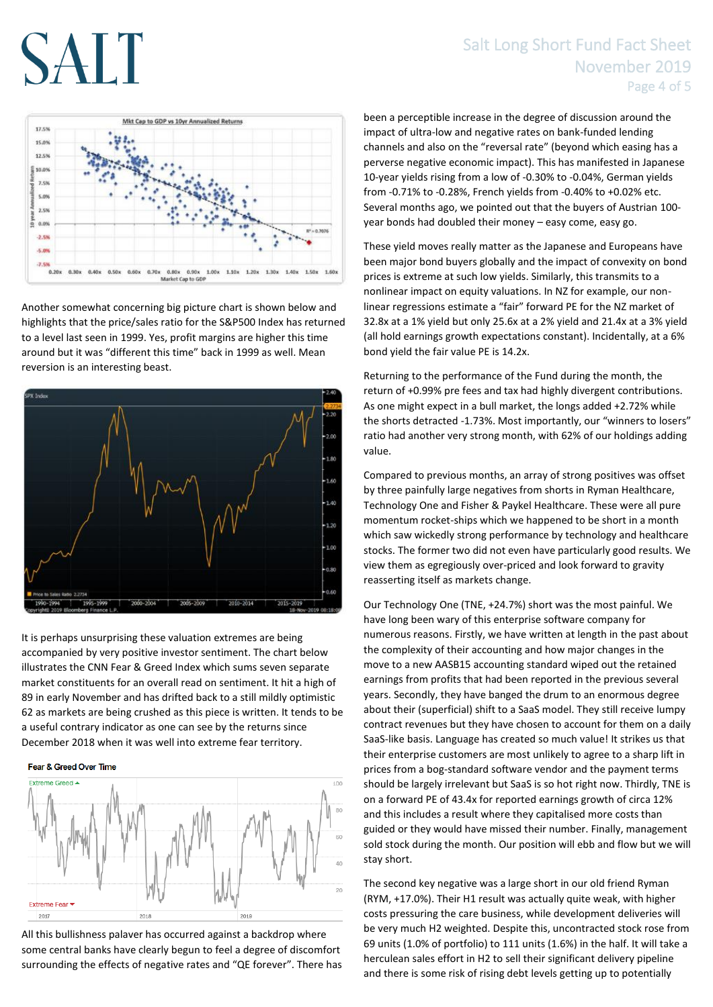# SALT

## Salt Long Short Fund Fact Sheet November 2019 Page 4 of 5



Another somewhat concerning big picture chart is shown below and highlights that the price/sales ratio for the S&P500 Index has returned to a level last seen in 1999. Yes, profit margins are higher this time around but it was "different this time" back in 1999 as well. Mean reversion is an interesting beast.



It is perhaps unsurprising these valuation extremes are being accompanied by very positive investor sentiment. The chart below illustrates the CNN Fear & Greed Index which sums seven separate market constituents for an overall read on sentiment. It hit a high of 89 in early November and has drifted back to a still mildly optimistic 62 as markets are being crushed as this piece is written. It tends to be a useful contrary indicator as one can see by the returns since December 2018 when it was well into extreme fear territory.

#### Fear & Greed Over Time



All this bullishness palaver has occurred against a backdrop where some central banks have clearly begun to feel a degree of discomfort surrounding the effects of negative rates and "QE forever". There has been a perceptible increase in the degree of discussion around the impact of ultra-low and negative rates on bank-funded lending channels and also on the "reversal rate" (beyond which easing has a perverse negative economic impact). This has manifested in Japanese 10-year yields rising from a low of -0.30% to -0.04%, German yields from -0.71% to -0.28%, French yields from -0.40% to +0.02% etc. Several months ago, we pointed out that the buyers of Austrian 100 year bonds had doubled their money – easy come, easy go.

These yield moves really matter as the Japanese and Europeans have been major bond buyers globally and the impact of convexity on bond prices is extreme at such low yields. Similarly, this transmits to a nonlinear impact on equity valuations. In NZ for example, our nonlinear regressions estimate a "fair" forward PE for the NZ market of 32.8x at a 1% yield but only 25.6x at a 2% yield and 21.4x at a 3% yield (all hold earnings growth expectations constant). Incidentally, at a 6% bond yield the fair value PE is 14.2x.

Returning to the performance of the Fund during the month, the return of +0.99% pre fees and tax had highly divergent contributions. As one might expect in a bull market, the longs added +2.72% while the shorts detracted -1.73%. Most importantly, our "winners to losers" ratio had another very strong month, with 62% of our holdings adding value.

Compared to previous months, an array of strong positives was offset by three painfully large negatives from shorts in Ryman Healthcare, Technology One and Fisher & Paykel Healthcare. These were all pure momentum rocket-ships which we happened to be short in a month which saw wickedly strong performance by technology and healthcare stocks. The former two did not even have particularly good results. We view them as egregiously over-priced and look forward to gravity reasserting itself as markets change.

Our Technology One (TNE, +24.7%) short was the most painful. We have long been wary of this enterprise software company for numerous reasons. Firstly, we have written at length in the past about the complexity of their accounting and how major changes in the move to a new AASB15 accounting standard wiped out the retained earnings from profits that had been reported in the previous several years. Secondly, they have banged the drum to an enormous degree about their (superficial) shift to a SaaS model. They still receive lumpy contract revenues but they have chosen to account for them on a daily SaaS-like basis. Language has created so much value! It strikes us that their enterprise customers are most unlikely to agree to a sharp lift in prices from a bog-standard software vendor and the payment terms should be largely irrelevant but SaaS is so hot right now. Thirdly, TNE is on a forward PE of 43.4x for reported earnings growth of circa 12% and this includes a result where they capitalised more costs than guided or they would have missed their number. Finally, management sold stock during the month. Our position will ebb and flow but we will stay short.

The second key negative was a large short in our old friend Ryman (RYM, +17.0%). Their H1 result was actually quite weak, with higher costs pressuring the care business, while development deliveries will be very much H2 weighted. Despite this, uncontracted stock rose from 69 units (1.0% of portfolio) to 111 units (1.6%) in the half. It will take a herculean sales effort in H2 to sell their significant delivery pipeline and there is some risk of rising debt levels getting up to potentially